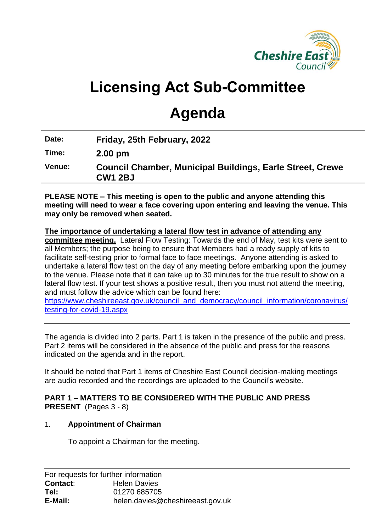

# **Licensing Act Sub-Committee**

# **Agenda**

| Date: | Friday, 25th February, 2022 |
|-------|-----------------------------|
| Time: | $2.00$ pm                   |

**PLEASE NOTE – This meeting is open to the public and anyone attending this meeting will need to wear a face covering upon entering and leaving the venue. This may only be removed when seated.** 

**The importance of undertaking a lateral flow test in advance of attending any committee meeting.** Lateral Flow Testing: Towards the end of May, test kits were sent to all Members; the purpose being to ensure that Members had a ready supply of kits to facilitate self-testing prior to formal face to face meetings. Anyone attending is asked to undertake a lateral flow test on the day of any meeting before embarking upon the journey to the venue. Please note that it can take up to 30 minutes for the true result to show on a lateral flow test. If your test shows a positive result, then you must not attend the meeting, and must follow the advice which can be found here:

[https://www.cheshireeast.gov.uk/council\\_and\\_democracy/council\\_information/coronavirus/](https://www.cheshireeast.gov.uk/council_and_democracy/council_information/coronavirus/testing-for-covid-19.aspx) [testing-for-covid-19.aspx](https://www.cheshireeast.gov.uk/council_and_democracy/council_information/coronavirus/testing-for-covid-19.aspx)

The agenda is divided into 2 parts. Part 1 is taken in the presence of the public and press. Part 2 items will be considered in the absence of the public and press for the reasons indicated on the agenda and in the report.

It should be noted that Part 1 items of Cheshire East Council decision-making meetings are audio recorded and the recordings are uploaded to the Council's website.

## **PART 1 – MATTERS TO BE CONSIDERED WITH THE PUBLIC AND PRESS PRESENT** (Pages 3 - 8)

## 1. **Appointment of Chairman**

To appoint a Chairman for the meeting.